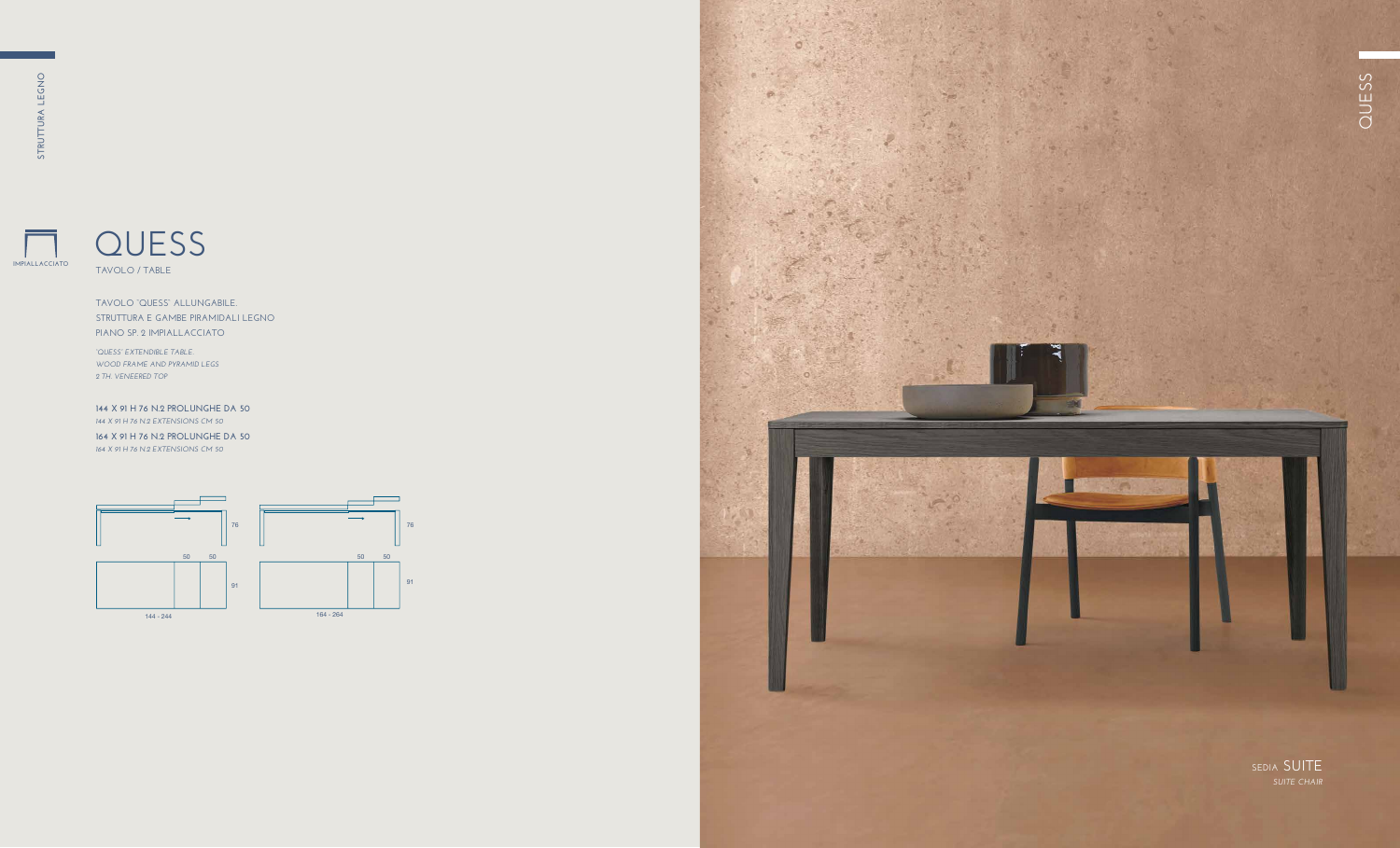**IMPIALLACCIATO**

### **QUESS TAVOLO / TABLE**

#### **TAVOLO "QUESS" ALLUNGABILE. STRUTTURA E GAMBE PIRAMIDALI LEGNO PIANO SP. 2 IMPIALLACCIATO**

*"QUESS" EXTENDIBLE TABLE. WOOD FRAME AND PYRAMID LEGS 2 TH. VENEERED TOP* 

**144 X 91 H 76 N.2 PROLUNGHE DA 50** *144 X 91 H 76 N.2 EXTENSIONS CM 50*

**164 X 91 H 76 N.2 PROLUNGHE DA 50** *164 X 91 H 76 N.2 EXTENSIONS CM 50*



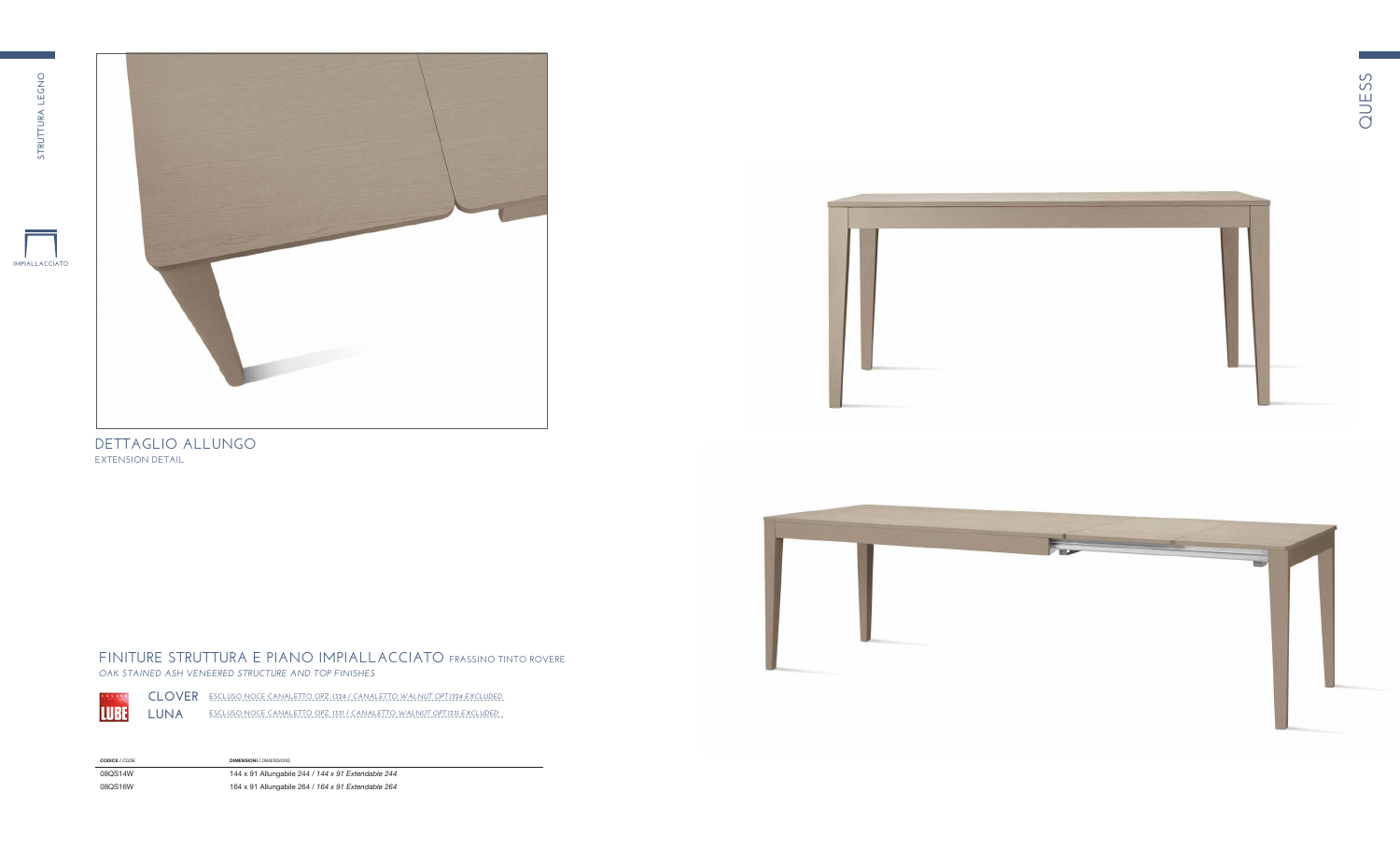

**FINITURE STRUTTURA E PIANO IMPIALLACCIATO FRASSINO TINTO ROVERE** *OAK STAINED ASH VENEERED STRUCTURE AND TOP FINISHES*



**CLOVER** ESCLUSO NOCE CANALETTO OPZ. 1324 / CANALETTO WALNUT OPT.1324 EXCLUDED  $L$ UNA  $-$  escluso noce canaletto opz. 1331 / canaletto walnut opt.1331 excluded

**CODICE /** *CODE* **DIMENSIONI** / *DIMENSIONS* 

08QS14W **144 x 91 Allungabile 244 / 144 x 91 Extendable 244** 08QS16W **164 x 91 Allungabile 264 / 164 x 91 Extendable 264** 



 $\mathsf{DETTAGLIO}\ \mathsf{ALLUNGO}$ **EXTENSION DETAIL** 



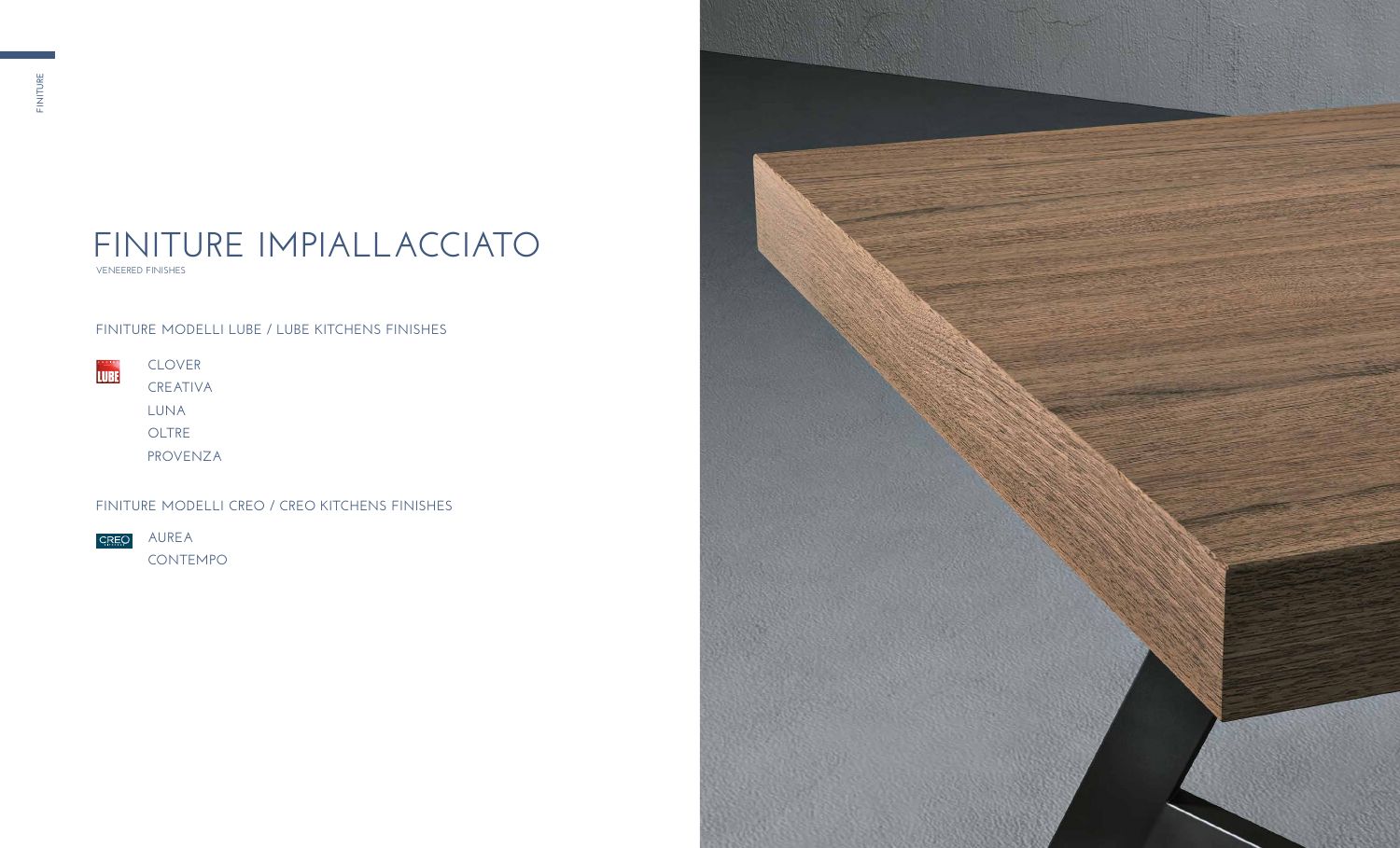**VENEERED FINISHES**

# **FINITURE IMPIALLACCIATO**

| <b>UCINE</b><br>LUBEI | <b>CLOVER</b> |
|-----------------------|---------------|
|                       | CREATIVA      |
|                       | LUNA          |
|                       | OLTRE         |

**PROVENZA**

**AUREA** 

**CONTEMPO**



### **FINITURE MODELLI LUBE / LUBE KITCHENS FINISHES**

**FINITURE MODELLI CREO / CREO KITCHENS FINISHES**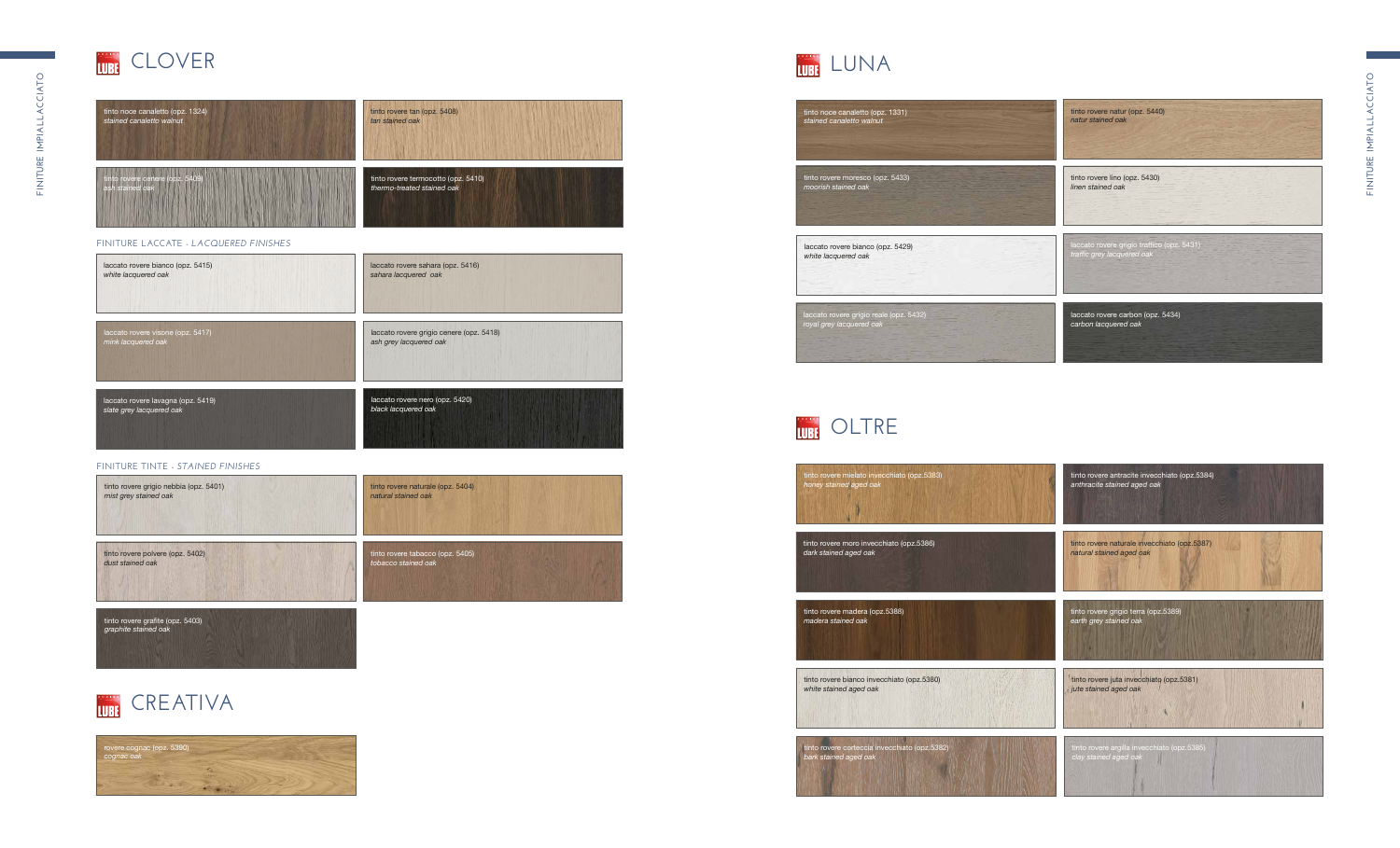









#### **FINITURE TINTE -** *STAINED FINISHES*

#### **FINITURE LACCATE -** *LACQUERED FINISHES*

### LUNA

### **COLTRE**

| tinto noce canaletto (opz. 1324) | tinto rovere tan (opz. 5408)        |
|----------------------------------|-------------------------------------|
| stained canaletto walnut         | tan stained oak                     |
| tinto rovere cenere (opz. 5409)  | tinto rovere termocotto (opz. 5410) |
| ash stained oak                  | thermo-treated stained oak          |

| laccato rovere bianco (opz. 5415)  | laccato rovere sahara (opz. 5416)        |
|------------------------------------|------------------------------------------|
| white lacquered oak                | sahara lacquered oak                     |
| laccato rovere visone (opz. 5417)  | laccato rovere grigio cenere (opz. 5418) |
| mink lacquered oak                 | ash grey lacquered oak                   |
| laccato rovere lavagna (opz. 5419) | laccato rovere nero (opz. 5420)          |
| slate grey lacquered oak           | black lacquered oak                      |







| tinto rovere mielato invecchiato (opz.5383)   | tinto rovere antracite invecchiato (opz.5384) |
|-----------------------------------------------|-----------------------------------------------|
| honey stained aged oak                        | anthracite stained aged oak                   |
| tinto rovere moro invecchiato (opz.5386)      | tinto rovere naturale invecchiato (opz.5387)  |
| dark stained aged oak                         | natural stained aged oak                      |
| tinto rovere madera (opz.5388)                | tinto rovere grigio terra (opz.5389)          |
| madera stained oak                            | earth grey stained oak                        |
| tinto rovere bianco invecchiato (opz.5380)    | tinto rovere juta invecchiato (opz.5381)      |
| white stained aged oak                        | jute stained aged oak                         |
| tinto rovere corteccia invecchiato (opz.5382) | tinto rovere argilla invecchiato (opz.5385)   |
| bark stained aged oak                         | clay stained aged oak                         |



tinto r  $White$